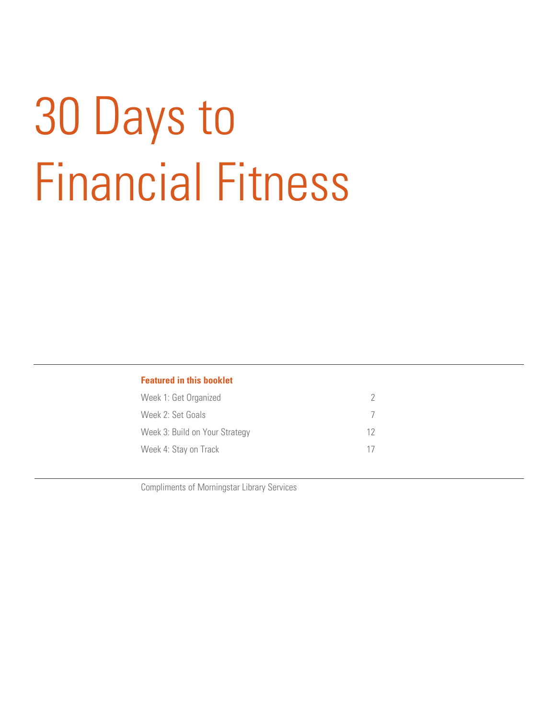# 30 Days to Financial Fitness

### **Featured in this booklet**

| Week 1: Get Organized          |    |
|--------------------------------|----|
| Week 2: Set Goals              |    |
| Week 3: Build on Your Strategy | 12 |
| Week 4: Stay on Track          | 17 |

Compliments of Morningstar Library Services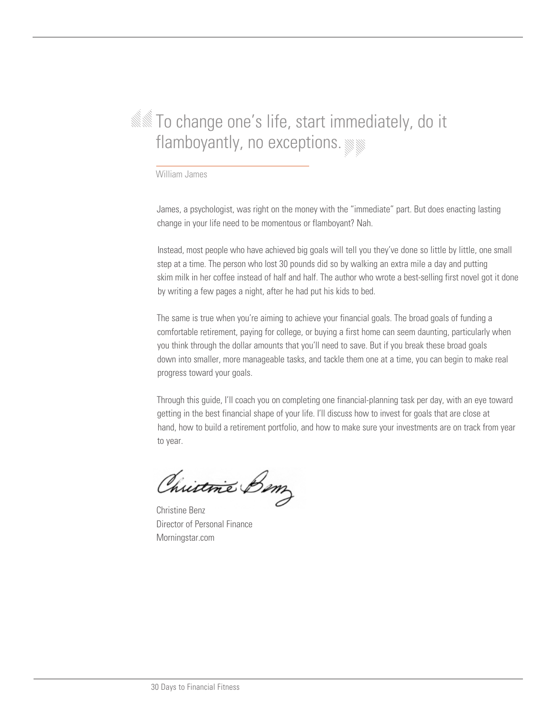# **SSOM** To change one's life, start immediately, do it flamboyantly, no exceptions.

William James

James, a psychologist, was right on the money with the "immediate" part. But does enacting lasting change in your life need to be momentous or flamboyant? Nah.

Instead, most people who have achieved big goals will tell you they've done so little by little, one small step at a time. The person who lost 30 pounds did so by walking an extra mile a day and putting skim milk in her coffee instead of half and half. The author who wrote a best-selling first novel got it done by writing a few pages a night, after he had put his kids to bed.

The same is true when you're aiming to achieve your financial goals. The broad goals of funding a comfortable retirement, paying for college, or buying a first home can seem daunting, particularly when you think through the dollar amounts that you'll need to save. But if you break these broad goals down into smaller, more manageable tasks, and tackle them one at a time, you can begin to make real progress toward your goals.

Through this guide, I'll coach you on completing one financial-planning task per day, with an eye toward getting in the best financial shape of your life. I'll discuss how to invest for goals that are close at hand, how to build a retirement portfolio, and how to make sure your investments are on track from year to year.

Christme Bom

Christine Benz Director of Personal Finance Morningstar.com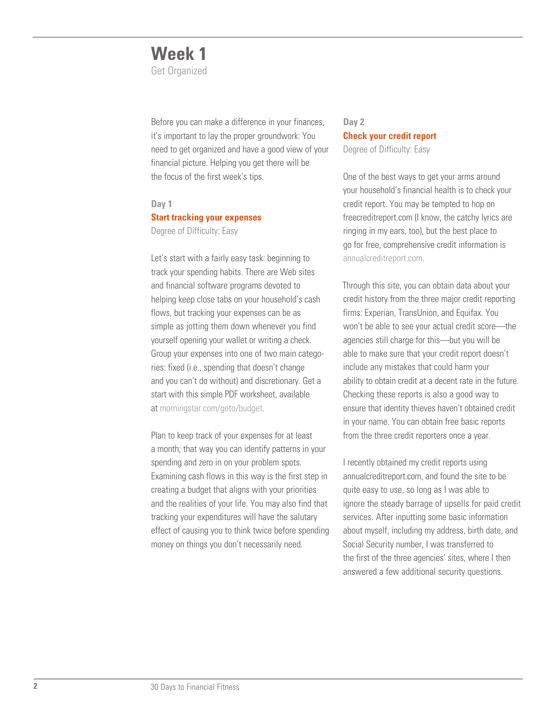# **Week 1**

Get Organized

Before you can make a difference in your finances, it's important to lay the proper groundwork: You need to get organized and have a good view of your financial picture. Helping you get there will be the focus of the first week's tips.

### **Day 1**

### **Start tracking your expenses**

Degree of Difficulty: Easy

Let's start with a fairly easy task: beginning to track your spending habits. There are Web sites and financial software programs devoted to helping keep close tabs on your household's cash flows, but tracking your expenses can be as simple as jotting them down whenever you find yourself opening your wallet or writing a check. Group your expenses into one of two main categories: fixed (i.e., spending that doesn't change and you can't do without) and discretionary. Get a start with this simple PDF worksheet, available at [morningstar.com/goto/budget.](http://news.morningstar.com/pdfs/Budget_Worksheet.pdf)

Plan to keep track of your expenses for at least a month; that way you can identify patterns in your spending and zero in on your problem spots. Examining cash flows in this way is the first step in creating a budget that aligns with your priorities and the realities of your life. You may also find that tracking your expenditures will have the salutary effect of causing you to think twice before spending money on things you don't necessarily need.

# **Day 2 Check your credit report**

Degree of Difficulty: Easy

One of the best ways to get your arms around your household's financial health is to check your credit report. You may be tempted to hop on freecreditreport.com (I know, the catchy lyrics are ringing in my ears, too), but the best place to go for free, comprehensive credit information is [annualcreditreport.com.](https://www.annualcreditreport.com/cra/index.jsp)

Through this site, you can obtain data about your credit history from the three major credit reporting firms: Experian, TransUnion, and Equifax. You won't be able to see your actual credit score—the agencies still charge for this—but you will be able to make sure that your credit report doesn't include any mistakes that could harm your ability to obtain credit at a decent rate in the future. Checking these reports is also a good way to ensure that identity thieves haven't obtained credit in your name. You can obtain free basic reports from the three credit reporters once a year.

I recently obtained my credit reports using annualcreditreport.com, and found the site to be quite easy to use, so long as I was able to ignore the steady barrage of upsells for paid credit services. After inputting some basic information about myself, including my address, birth date, and Social Security number, I was transferred to the first of the three agencies' sites, where I then answered a few additional security questions.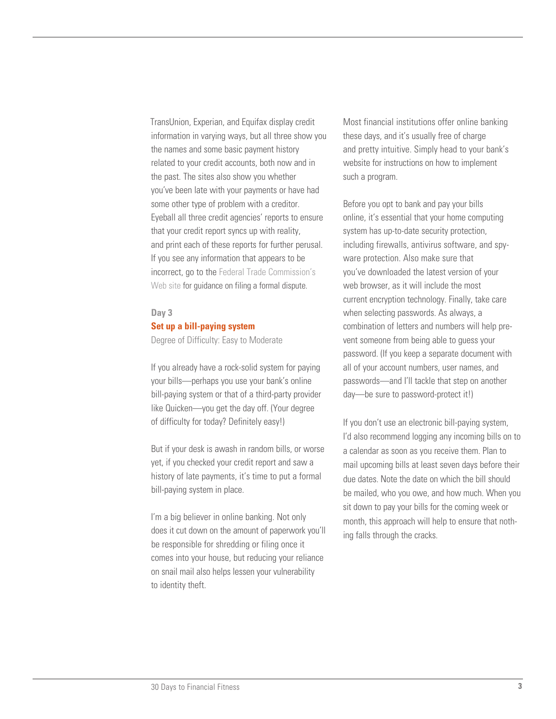TransUnion, Experian, and Equifax display credit information in varying ways, but all three show you the names and some basic payment history related to your credit accounts, both now and in the past. The sites also show you whether you've been late with your payments or have had some other type of problem with a creditor. Eyeball all three credit agencies' reports to ensure that your credit report syncs up with reality, and print each of these reports for further perusal. If you see any information that appears to be incorrect, go to the [Federal Trade Commission's](http://www.ftc.gov/bcp/edu/pubs/consumer/credit/cre21.shtm)  [Web site f](http://www.ftc.gov/bcp/edu/pubs/consumer/credit/cre21.shtm)or guidance on filing a formal dispute.

#### **Day 3**

### **Set up a bill-paying system**

Degree of Difficulty: Easy to Moderate

If you already have a rock-solid system for paying your bills—perhaps you use your bank's online bill-paying system or that of a third-party provider like Quicken—you get the day off. (Your degree of difficulty for today? Definitely easy!)

But if your desk is awash in random bills, or worse yet, if you checked your credit report and saw a history of late payments, it's time to put a formal bill-paying system in place.

I'm a big believer in online banking. Not only does it cut down on the amount of paperwork you'll be responsible for shredding or filing once it comes into your house, but reducing your reliance on snail mail also helps lessen your vulnerability to identity theft.

Most financial institutions offer online banking these days, and it's usually free of charge and pretty intuitive. Simply head to your bank's website for instructions on how to implement such a program.

Before you opt to bank and pay your bills online, it's essential that your home computing system has up-to-date security protection, including firewalls, antivirus software, and spyware protection. Also make sure that you've downloaded the latest version of your web browser, as it will include the most current encryption technology. Finally, take care when selecting passwords. As always, a combination of letters and numbers will help prevent someone from being able to guess your password. (If you keep a separate document with all of your account numbers, user names, and passwords—and I'll tackle that step on another day—be sure to password-protect it!)

If you don't use an electronic bill-paying system, I'd also recommend logging any incoming bills on to a calendar as soon as you receive them. Plan to mail upcoming bills at least seven days before their due dates. Note the date on which the bill should be mailed, who you owe, and how much. When you sit down to pay your bills for the coming week or month, this approach will help to ensure that nothing falls through the cracks.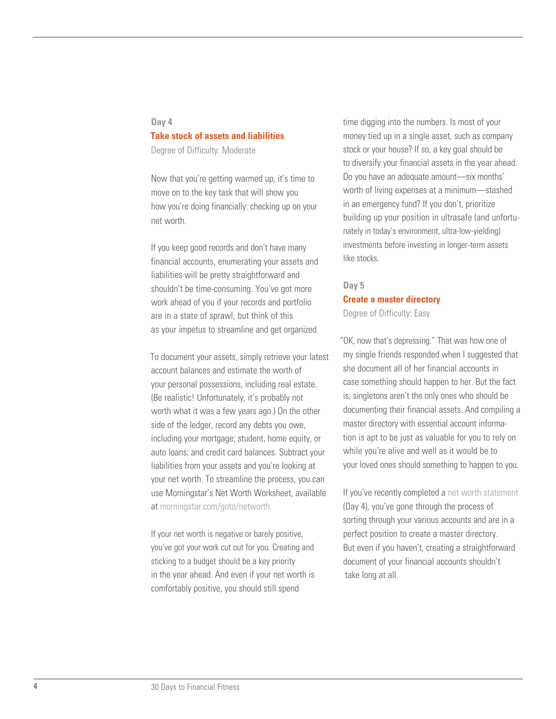### **Day 4**

### **Take stock of assets and liabilities**

Degree of Difficulty: Moderate

Now that you're getting warmed up, it's time to move on to the key task that will show you how you're doing financially: checking up on your net worth.

If you keep good records and don't have many financial accounts, enumerating your assets and liabilities will be pretty straightforward and shouldn't be time-consuming. You've got more work ahead of you if your records and portfolio are in a state of sprawl, but think of this as your impetus to streamline and get organized.

To document your assets, simply retrieve your latest account balances and estimate the worth of your personal possessions, including real estate. (Be realistic! Unfortunately, it's probably not worth what it was a few years ago.) On the other side of the ledger, record any debts you owe, including your mortgage; student, home equity, or auto loans; and credit card balances. Subtract your liabilities from your assets and you're looking at your net worth. To streamline the process, you can use Morningstar's Net Worth Worksheet, available a[t morningstar.com/goto/networth.](http://news.morningstar.com/pdfs/Net_Worth_Worksheet.pdf)

If your net worth is negative or barely positive, you've got your work cut out for you. Creating and sticking to a budget should be a key priority in the year ahead. And even if your net worth is comfortably positive, you should still spend

time digging into the numbers. Is most of your money tied up in a single asset, such as company stock or your house? If so, a key goal should be to diversify your financial assets in the year ahead. Do you have an adequate amount—six months' worth of living expenses at a minimum—stashed in an emergency fund? If you don't, prioritize building up your position in ultrasafe (and unfortunately in today's environment, ultra-low-yielding) investments before investing in longer-term assets like stocks.

### **Day 5**

### **Create a master directory**

Degree of Difficulty: Easy

"OK, now that's depressing." That was how one of my single friends responded when I suggested that she document all of her financial accounts in case something should happen to her. But the fact is, singletons aren't the only ones who should be documenting their financial assets. And compiling a master directory with essential account information is apt to be just as valuable for you to rely on while you're alive and well as it would be to your loved ones should something to happen to you.

If you've recently completed [a net worth statement](http://news.morningstar.com/pdfs/Net_Worth_Worksheet.pdf) (Day 4), you've gone through the process of sorting through your various accounts and are in a perfect position to create a master directory. But even if you haven't, creating a straightforward document of your financial accounts shouldn't take long at all.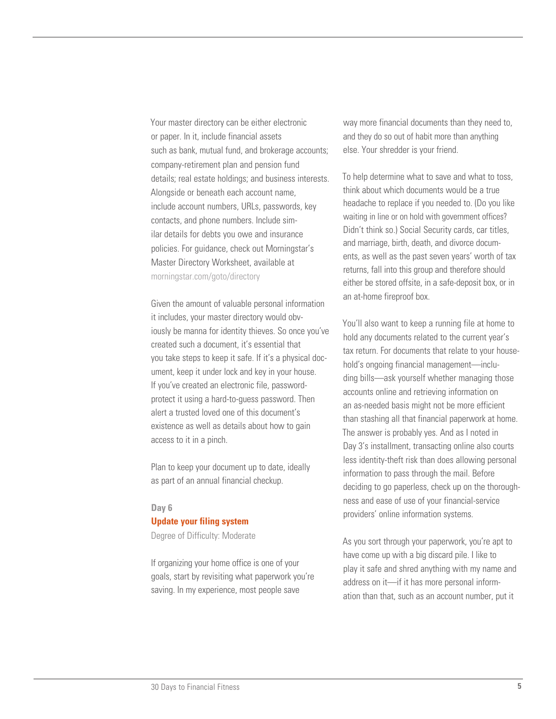Your master directory can be either electronic or paper. In it, include financial assets such as bank, mutual fund, and brokerage accounts; company-retirement plan and pension fund details; real estate holdings; and business interests. Alongside or beneath each account name, include account numbers, URLs, passwords, key contacts, and phone numbers. Include similar details for debts you owe and insurance policies. For guidance, check out Morningstar's Master Directory Worksheet, available at [morningstar.com/goto/directory](http://finance.morningstar.com/ThirtyMinPDF/HouseholdBudget/30Min_Worsheet7-1.pdf)

Given the amount of valuable personal information it includes, your master directory would obviously be manna for identity thieves. So once you've created such a document, it's essential that you take steps to keep it safe. If it's a physical document, keep it under lock and key in your house. If you've created an electronic file, passwordprotect it using a hard-to-guess password. Then alert a trusted loved one of this document's existence as well as details about how to gain access to it in a pinch.

Plan to keep your document up to date, ideally as part of an annual financial checkup.

### **Day 6**

#### **Update your filing system**

Degree of Difficulty: Moderate

If organizing your home office is one of your goals, start by revisiting what paperwork you're saving. In my experience, most people save

way more financial documents than they need to, and they do so out of habit more than anything else. Your shredder is your friend.

To help determine what to save and what to toss, think about which documents would be a true headache to replace if you needed to. (Do you like waiting in line or on hold with government offices? Didn't think so.) Social Security cards, car titles, and marriage, birth, death, and divorce documents, as well as the past seven years' worth of tax returns, fall into this group and therefore should either be stored offsite, in a safe-deposit box, or in an at-home fireproof box.

You'll also want to keep a running file at home to hold any documents related to the current year's tax return. For documents that relate to your household's ongoing financial management—including bills—ask yourself whether managing those accounts online and retrieving information on an as-needed basis might not be more efficient than stashing all that financial paperwork at home. The answer is probably yes. And as I noted in Day 3's installment, transacting online also courts less identity-theft risk than does allowing personal information to pass through the mail. Before deciding to go paperless, check up on the thoroughness and ease of use of your financial-service providers' online information systems.

As you sort through your paperwork, you're apt to have come up with a big discard pile. I like to play it safe and shred anything with my name and address on it—if it has more personal information than that, such as an account number, put it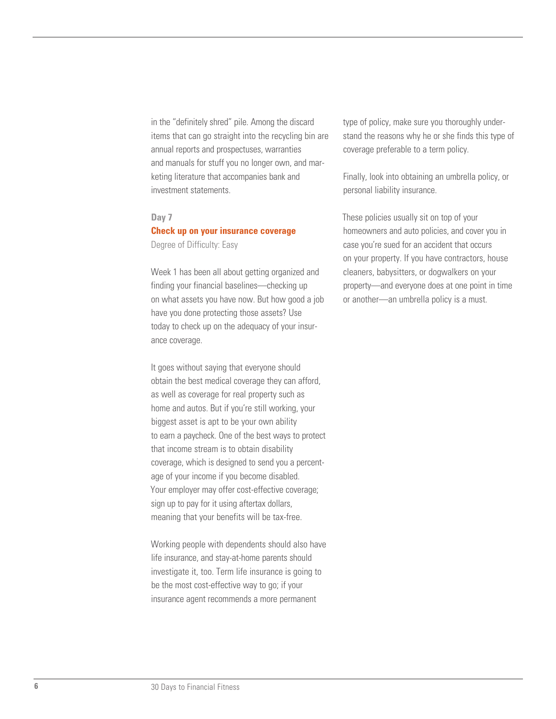in the "definitely shred" pile. Among the discard items that can go straight into the recycling bin are annual reports and prospectuses, warranties and manuals for stuff you no longer own, and marketing literature that accompanies bank and investment statements.

### **Day 7**

### **Check up on your insurance coverage** Degree of Difficulty: Easy

Week 1 has been all about getting organized and finding your financial baselines—checking up on what assets you have now. But how good a job have you done protecting those assets? Use today to check up on the adequacy of your insurance coverage.

It goes without saying that everyone should obtain the best medical coverage they can afford, as well as coverage for real property such as home and autos. But if you're still working, your biggest asset is apt to be your own ability to earn a paycheck. One of the best ways to protect that income stream is to obtain disability coverage, which is designed to send you a percentage of your income if you become disabled. Your employer may offer cost-effective coverage; sign up to pay for it using aftertax dollars, meaning that your benefits will be tax-free.

Working people with dependents should also have life insurance, and stay-at-home parents should investigate it, too. Term life insurance is going to be the most cost-effective way to go; if your insurance agent recommends a more permanent

type of policy, make sure you thoroughly understand the reasons why he or she finds this type of coverage preferable to a term policy.

Finally, look into obtaining an umbrella policy, or personal liability insurance.

These policies usually sit on top of your homeowners and auto policies, and cover you in case you're sued for an accident that occurs on your property. If you have contractors, house cleaners, babysitters, or dogwalkers on your property—and everyone does at one point in time or another—an umbrella policy is a must.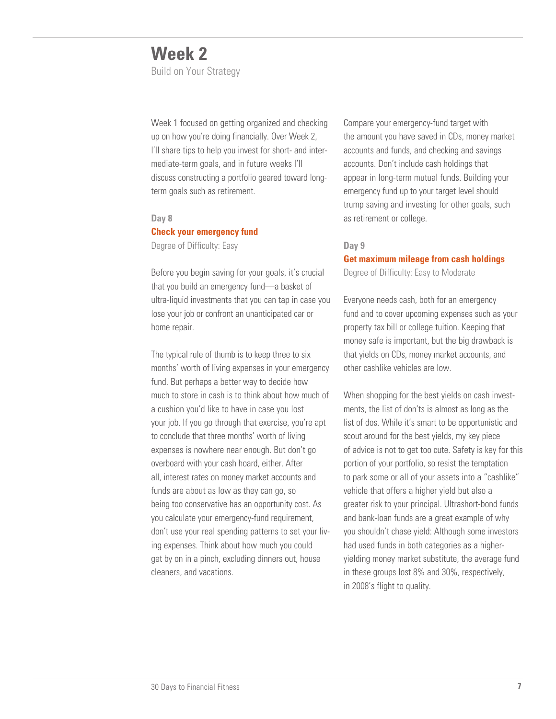# **Week 2**

Build on Your Strategy

Week 1 focused on getting organized and checking up on how you're doing financially. Over Week 2, I'll share tips to help you invest for short- and intermediate-term goals, and in future weeks I'll discuss constructing a portfolio geared toward longterm goals such as retirement.

### **Day 8**

# **Check your emergency fund**

Degree of Difficulty: Easy

Before you begin saving for your goals, it's crucial that you build an emergency fund—a basket of ultra-liquid investments that you can tap in case you lose your job or confront an unanticipated car or home repair.

The typical rule of thumb is to keep three to six months' worth of living expenses in your emergency fund. But perhaps a better way to decide how much to store in cash is to think about how much of a cushion you'd like to have in case you lost your job. If you go through that exercise, you're apt to conclude that three months' worth of living expenses is nowhere near enough. But don't go overboard with your cash hoard, either. After all, interest rates on money market accounts and funds are about as low as they can go, so being too conservative has an opportunity cost. As you calculate your emergency-fund requirement, don't use your real spending patterns to set your living expenses. Think about how much you could get by on in a pinch, excluding dinners out, house cleaners, and vacations.

Compare your emergency-fund target with the amount you have saved in CDs, money market accounts and funds, and checking and savings accounts. Don't include cash holdings that appear in long-term mutual funds. Building your emergency fund up to your target level should trump saving and investing for other goals, such as retirement or college.

### **Day 9**

# **Get maximum mileage from cash holdings**

Degree of Difficulty: Easy to Moderate

Everyone needs cash, both for an emergency fund and to cover upcoming expenses such as your property tax bill or college tuition. Keeping that money safe is important, but the big drawback is that yields on CDs, money market accounts, and other cashlike vehicles are low.

When shopping for the best yields on cash investments, the list of don'ts is almost as long as the list of dos. While it's smart to be opportunistic and scout around for the best yields, my key piece of advice is not to get too cute. Safety is key for this portion of your portfolio, so resist the temptation to park some or all of your assets into a "cashlike" vehicle that offers a higher yield but also a greater risk to your principal. Ultrashort-bond funds and bank-loan funds are a great example of why you shouldn't chase yield: Although some investors had used funds in both categories as a higheryielding money market substitute, the average fund in these groups lost 8% and 30%, respectively, in 2008's flight to quality.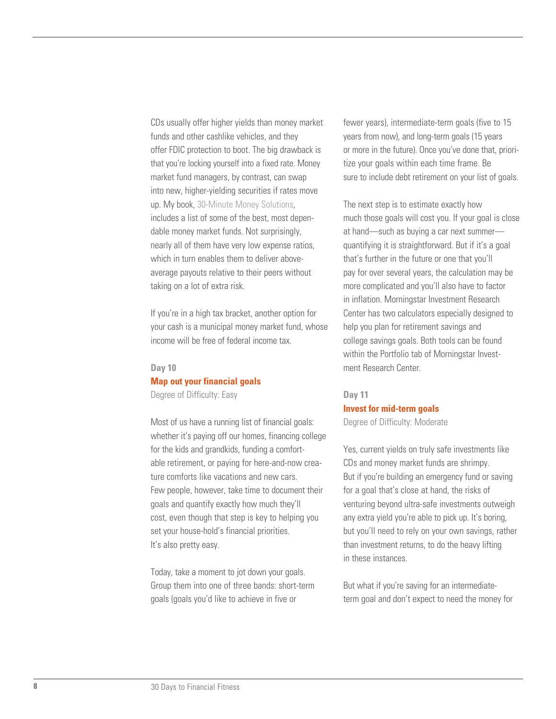CDs usually offer higher yields than money market funds and other cashlike vehicles, and they offer FDIC protection to boot. The big drawback is that you're locking yourself into a fixed rate. Money market fund managers, by contrast, can swap into new, higher-yielding securities if rates move up. My book, [30-Minute Money Solutions,](http://finance.morningstar.com/ThirtyMinSolution.aspx)  includes a list of some of the best, most dependable money market funds. Not surprisingly, nearly all of them have very low expense ratios, which in turn enables them to deliver aboveaverage payouts relative to their peers without taking on a lot of extra risk.

If you're in a high tax bracket, another option for your cash is a municipal money market fund, whose income will be free of federal income tax.

### **Day 10**

### **Map out your financial goals**

Degree of Difficulty: Easy

Most of us have a running list of financial goals: whether it's paying off our homes, financing college for the kids and grandkids, funding a comfortable retirement, or paying for here-and-now creature comforts like vacations and new cars. Few people, however, take time to document their goals and quantify exactly how much they'll cost, even though that step is key to helping you set your house-hold's financial priorities. It's also pretty easy.

Today, take a moment to jot down your goals. Group them into one of three bands: short-term goals (goals you'd like to achieve in five or

fewer years), intermediate-term goals (five to 15 years from now), and long-term goals (15 years or more in the future). Once you've done that, prioritize your goals within each time frame. Be sure to include debt retirement on your list of goals.

The next step is to estimate exactly how much those goals will cost you. If your goal is close at hand—such as buying a car next summer quantifying it is straightforward. But if it's a goal that's further in the future or one that you'll pay for over several years, the calculation may be more complicated and you'll also have to factor in inflation. Morningstar Investment Research Center has two calculators especially designed to help you plan for retirement savings and college savings goals. Both tools can be found within the Portfolio tab of Morningstar Investment Research Center.

# **Day 11 Invest for mid-term goals**

Degree of Difficulty: Moderate

Yes, current yields on truly safe investments like CDs and money market funds are shrimpy. But if you're building an emergency fund or saving for a goal that's close at hand, the risks of venturing beyond ultra-safe investments outweigh any extra yield you're able to pick up. It's boring, but you'll need to rely on your own savings, rather than investment returns, to do the heavy lifting in these instances.

But what if you're saving for an intermediateterm goal and don't expect to need the money for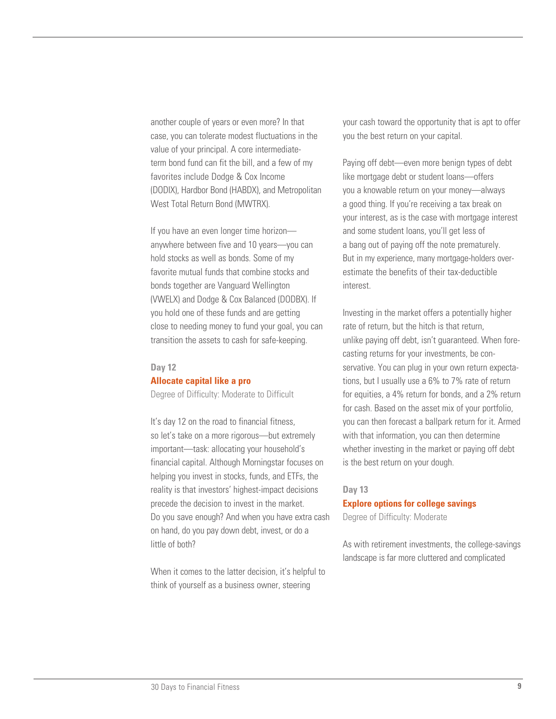another couple of years or even more? In that case, you can tolerate modest fluctuations in the value of your principal. A core intermediateterm bond fund can fit the bill, and a few of my favorites include Dodge & Cox Income (DODIX), Hardbor Bond (HABDX), and Metropolitan West Total Return Bond (MWTRX).

If you have an even longer time horizon anywhere between five and 10 years—you can hold stocks as well as bonds. Some of my favorite mutual funds that combine stocks and bonds together are Vanguard Wellington (VWELX) and Dodge & Cox Balanced (DODBX). If you hold one of these funds and are getting close to needing money to fund your goal, you can transition the assets to cash for safe-keeping.

#### **Day 12**

### **Allocate capital like a pro**

Degree of Difficulty: Moderate to Difficult

It's day 12 on the road to financial fitness, so let's take on a more rigorous—but extremely important—task: allocating your household's financial capital. Although Morningstar focuses on helping you invest in stocks, funds, and ETFs, the reality is that investors' highest-impact decisions precede the decision to invest in the market. Do you save enough? And when you have extra cash on hand, do you pay down debt, invest, or do a little of both?

When it comes to the latter decision, it's helpful to think of yourself as a business owner, steering

your cash toward the opportunity that is apt to offer you the best return on your capital.

Paying off debt—even more benign types of debt like mortgage debt or student loans—offers you a knowable return on your money—always a good thing. If you're receiving a tax break on your interest, as is the case with mortgage interest and some student loans, you'll get less of a bang out of paying off the note prematurely. But in my experience, many mortgage-holders overestimate the benefits of their tax-deductible interest.

Investing in the market offers a potentially higher rate of return, but the hitch is that return, unlike paying off debt, isn't guaranteed. When forecasting returns for your investments, be conservative. You can plug in your own return expectations, but I usually use a 6% to 7% rate of return for equities, a 4% return for bonds, and a 2% return for cash. Based on the asset mix of your portfolio, you can then forecast a ballpark return for it. Armed with that information, you can then determine whether investing in the market or paying off debt is the best return on your dough.

### **Day 13**

**Explore options for college savings**  Degree of Difficulty: Moderate

As with retirement investments, the college-savings landscape is far more cluttered and complicated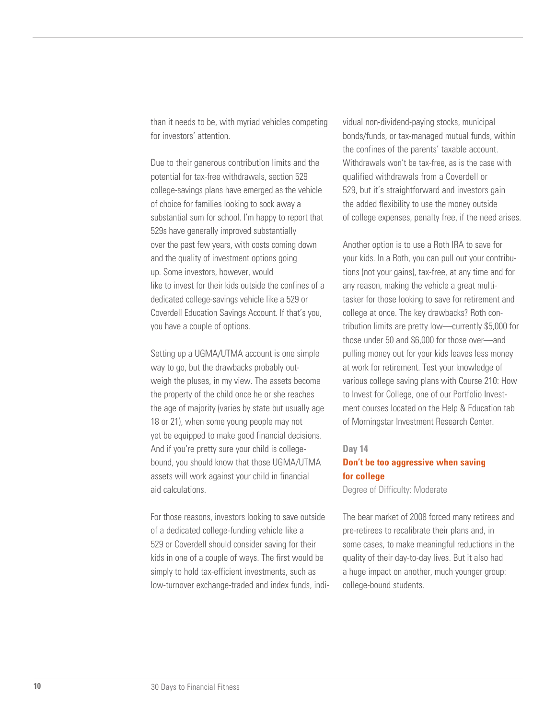than it needs to be, with myriad vehicles competing for investors' attention.

Due to their generous contribution limits and the potential for tax-free withdrawals, section 529 college-savings plans have emerged as the vehicle of choice for families looking to sock away a substantial sum for school. I'm happy to report that 529s have generally improved substantially over the past few years, with costs coming down and the quality of investment options going up. Some investors, however, would like to invest for their kids outside the confines of a dedicated college-savings vehicle like a 529 or Coverdell Education Savings Account. If that's you, you have a couple of options.

Setting up a UGMA/UTMA account is one simple way to go, but the drawbacks probably outweigh the pluses, in my view. The assets become the property of the child once he or she reaches the age of majority (varies by state but usually age 18 or 21), when some young people may not yet be equipped to make good financial decisions. And if you're pretty sure your child is collegebound, you should know that those UGMA/UTMA assets will work against your child in financial aid calculations.

For those reasons, investors looking to save outside of a dedicated college-funding vehicle like a 529 or Coverdell should consider saving for their kids in one of a couple of ways. The first would be simply to hold tax-efficient investments, such as low-turnover exchange-traded and index funds, individual non-dividend-paying stocks, municipal bonds/funds, or tax-managed mutual funds, within the confines of the parents' taxable account. Withdrawals won't be tax-free, as is the case with qualified withdrawals from a Coverdell or 529, but it's straightforward and investors gain the added flexibility to use the money outside of college expenses, penalty free, if the need arises.

Another option is to use a Roth IRA to save for your kids. In a Roth, you can pull out your contributions (not your gains), tax-free, at any time and for any reason, making the vehicle a great multitasker for those looking to save for retirement and college at once. The key drawbacks? Roth contribution limits are pretty low—currently \$5,000 for those under 50 and \$6,000 for those over—and pulling money out for your kids leaves less money at work for retirement. Test your knowledge of various college saving plans with Course 210: How to Invest for College, one of our Portfolio Investment courses located on the Help & Education tab of Morningstar Investment Research Center.

### **Day 14**

### **Don't be too aggressive when saving for college**

Degree of Difficulty: Moderate

The bear market of 2008 forced many retirees and pre-retirees to recalibrate their plans and, in some cases, to make meaningful reductions in the quality of their day-to-day lives. But it also had a huge impact on another, much younger group: college-bound students.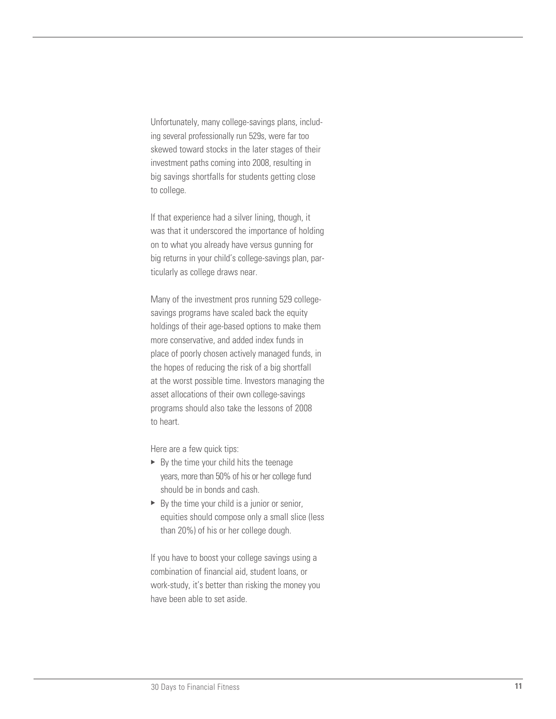Unfortunately, many college-savings plans, includ ing several professionally run 529s, were far too skewed toward stocks in the later stages of their investment paths coming into 2008, resulting in big savings shortfalls for students getting close to college.

If that experience had a silver lining, though, it was that it underscored the importance of holding on to what you already have versus gunning for big returns in your child's college-savings plan, par ticularly as college draws near.

Many of the investment pros running 529 collegesavings programs have scaled back the equity holdings of their age-based options to make them more conservative, and added index funds in place of poorly chosen actively managed funds, in the hopes of reducing the risk of a big shortfall at the worst possible time. Investors managing the asset allocations of their own college-savings programs should also take the lessons of 2008 to heart.

Here are a few quick tips:

- $\blacktriangleright$  By the time your child hits the teenage years, more than 50% of his or her college fund should be in bonds and cash.
- $\triangleright$  By the time your child is a junior or senior, equities should compose only a small slice (less than 20%) of his or her college dough.

If you have to boost your college savings using a combination of financial aid, student loans, or work-study, it's better than risking the money you have been able to set aside.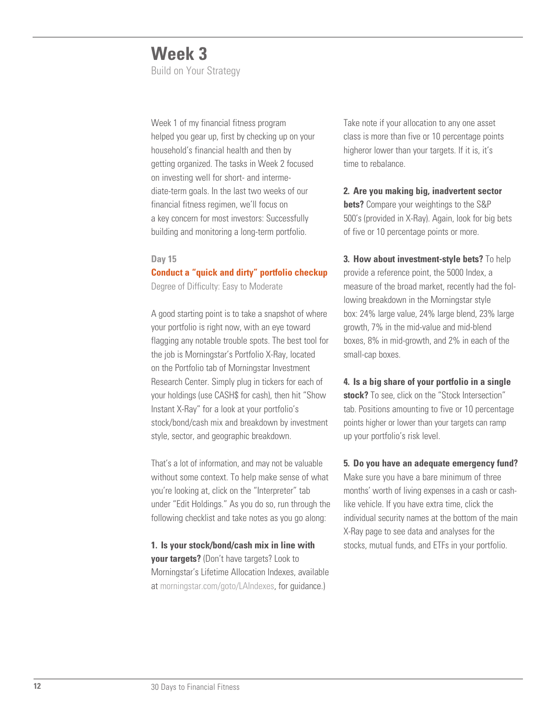# **Week 3**

Build on Your Strategy

Week 1 of my financial fitness program helped you gear up, first by checking up on your household's financial health and then by getting organized. The tasks in Week 2 focused on investing well for short- and intermediate-term goals. In the last two weeks of our financial fitness regimen, we'll focus on a key concern for most investors: Successfully building and monitoring a long-term portfolio.

### **Day 15**

**Conduct a "quick and dirty" portfolio checkup**

Degree of Difficulty: Easy to Moderate

A good starting point is to take a snapshot of where your portfolio is right now, with an eye toward flagging any notable trouble spots. The best tool for the job is Morningstar's Portfolio X-Ray, located on the Portfolio tab of Morningstar Investment Research Center. Simply plug in tickers for each of your holdings (use CASH\$ for cash), then hit "Show Instant X-Ray" for a look at your portfolio's stock/bond/cash mix and breakdown by investment style, sector, and geographic breakdown.

That's a lot of information, and may not be valuable without some context. To help make sense of what you're looking at, click on the "Interpreter" tab under "Edit Holdings." As you do so, run through the following checklist and take notes as you go along:

**1. Is your stock/bond/cash mix in line with your targets?** (Don't have targets? Look to Morningstar's Lifetime Allocation Indexes, available at [morningstar.com/goto/LAIndexes,](http://corporate.morningstar.com/US/documents/MarketingOneSheets/AssetAllocationsSummary.pdf) for guidance.)

Take note if your allocation to any one asset class is more than five or 10 percentage points higheror lower than your targets. If it is, it's time to rebalance.

**2. Are you making big, inadvertent sector bets?** Compare your weightings to the S&P 500's (provided in X-Ray). Again, look for big bets of five or 10 percentage points or more.

**3. How about investment-style bets?** To help provide a reference point, the 5000 Index, a measure of the broad market, recently had the following breakdown in the Morningstar style box: 24% large value, 24% large blend, 23% large growth, 7% in the mid-value and mid-blend boxes, 8% in mid-growth, and 2% in each of the small-cap boxes.

**4. Is a big share of your portfolio in a single stock?** To see, click on the "Stock Intersection" tab. Positions amounting to five or 10 percentage points higher or lower than your targets can ramp up your portfolio's risk level.

**5. Do you have an adequate emergency fund?** Make sure you have a bare minimum of three months' worth of living expenses in a cash or cashlike vehicle. If you have extra time, click the individual security names at the bottom of the main X-Ray page to see data and analyses for the stocks, mutual funds, and ETFs in your portfolio.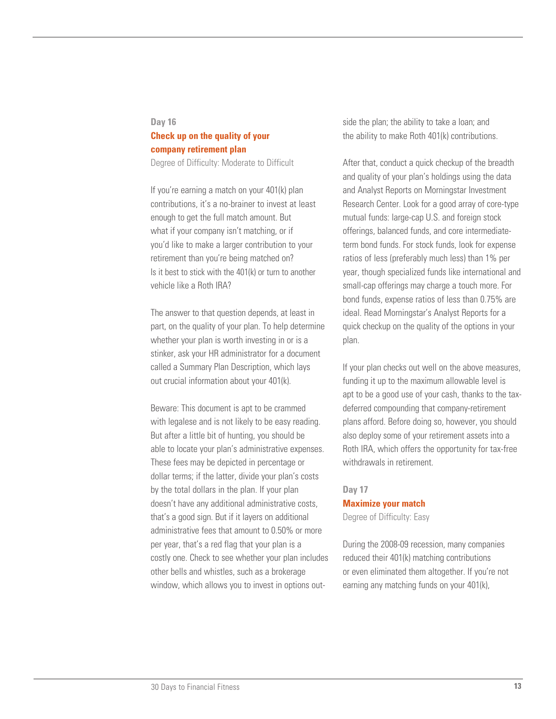### **Day 16**

# **Check up on the quality of your company retirement plan**

Degree of Difficulty: Moderate to Difficult

If you're earning a match on your 401(k) plan contributions, it's a no-brainer to invest at least enough to get the full match amount. But what if your company isn't matching, or if you'd like to make a larger contribution to your retirement than you're being matched on? Is it best to stick with the 401(k) or turn to another vehicle like a Roth IRA?

The answer to that question depends, at least in part, on the quality of your plan. To help determine whether your plan is worth investing in or is a stinker, ask your HR administrator for a document called a Summary Plan Description, which lays out crucial information about your 401(k).

Beware: This document is apt to be crammed with legalese and is not likely to be easy reading. But after a little bit of hunting, you should be able to locate your plan's administrative expenses. These fees may be depicted in percentage or dollar terms; if the latter, divide your plan's costs by the total dollars in the plan. If your plan doesn't have any additional administrative costs, that's a good sign. But if it layers on additional administrative fees that amount to 0.50% or more per year, that's a red flag that your plan is a costly one. Check to see whether your plan includes other bells and whistles, such as a brokerage window, which allows you to invest in options outside the plan; the ability to take a loan; and the ability to make Roth 401(k) contributions.

After that, conduct a quick checkup of the breadth and quality of your plan's holdings using the data and Analyst Reports on Morningstar Investment Research Center. Look for a good array of core-type mutual funds: large-cap U.S. and foreign stock offerings, balanced funds, and core intermediateterm bond funds. For stock funds, look for expense ratios of less (preferably much less) than 1% per year, though specialized funds like international and small-cap offerings may charge a touch more. For bond funds, expense ratios of less than 0.75% are ideal. Read Morningstar's Analyst Reports for a quick checkup on the quality of the options in your plan.

If your plan checks out well on the above measures, funding it up to the maximum allowable level is apt to be a good use of your cash, thanks to the taxdeferred compounding that company-retirement plans afford. Before doing so, however, you should also deploy some of your retirement assets into a Roth IRA, which offers the opportunity for tax-free withdrawals in retirement.

### **Day 17 Maximize your match** Degree of Difficulty: Easy

During the 2008-09 recession, many companies reduced their 401(k) matching contributions or even eliminated them altogether. If you're not earning any matching funds on your 401(k),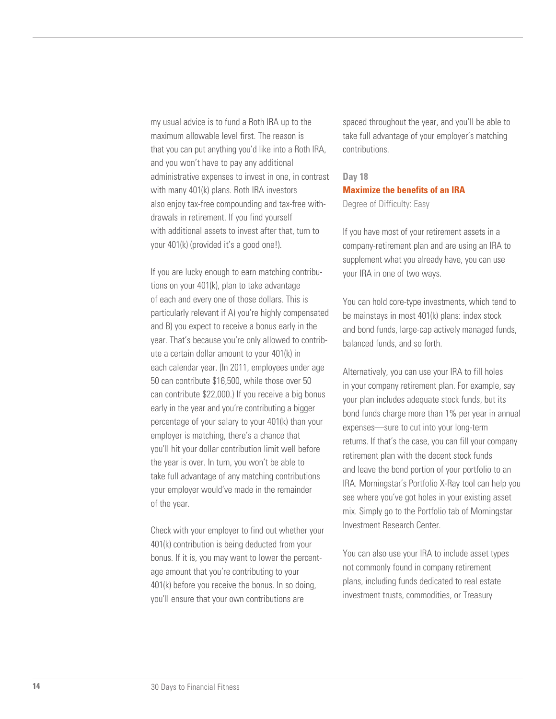my usual advice is to fund a Roth IRA up to the maximum allowable level first. The reason is that you can put anything you'd like into a Roth IRA, and you won't have to pay any additional administrative expenses to invest in one, in contrast with many 401(k) plans. Roth IRA investors also enjoy tax-free compounding and tax-free withdrawals in retirement. If you find yourself with additional assets to invest after that, turn to your 401(k) (provided it's a good one!).

If you are lucky enough to earn matching contributions on your 401(k), plan to take advantage of each and every one of those dollars. This is particularly relevant if A) you're highly compensated and B) you expect to receive a bonus early in the year. That's because you're only allowed to contribute a certain dollar amount to your 401(k) in each calendar year. (In 2011, employees under age 50 can contribute \$16,500, while those over 50 can contribute \$22,000.) If you receive a big bonus early in the year and you're contributing a bigger percentage of your salary to your 401(k) than your employer is matching, there's a chance that you'll hit your dollar contribution limit well before the year is over. In turn, you won't be able to take full advantage of any matching contributions your employer would've made in the remainder of the year.

Check with your employer to find out whether your 401(k) contribution is being deducted from your bonus. If it is, you may want to lower the percentage amount that you're contributing to your 401(k) before you receive the bonus. In so doing, you'll ensure that your own contributions are

spaced throughout the year, and you'll be able to take full advantage of your employer's matching contributions.

# **Day 18 Maximize the benefits of an IRA**

Degree of Difficulty: Easy

If you have most of your retirement assets in a company-retirement plan and are using an IRA to supplement what you already have, you can use your IRA in one of two ways.

You can hold core-type investments, which tend to be mainstays in most 401(k) plans: index stock and bond funds, large-cap actively managed funds, balanced funds, and so forth.

Alternatively, you can use your IRA to fill holes in your company retirement plan. For example, say your plan includes adequate stock funds, but its bond funds charge more than 1% per year in annual expenses—sure to cut into your long-term returns. If that's the case, you can fill your company retirement plan with the decent stock funds and leave the bond portion of your portfolio to an IRA. Morningstar's Portfolio X-Ray tool can help you see where you've got holes in your existing asset mix. Simply go to the Portfolio tab of Morningstar Investment Research Center.

You can also use your IRA to include asset types not commonly found in company retirement plans, including funds dedicated to real estate investment trusts, commodities, or Treasury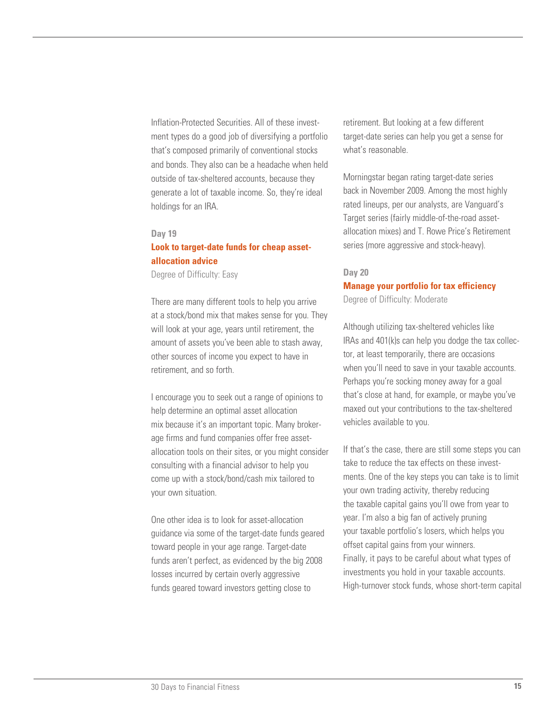Inflation-Protected Securities. All of these investment types do a good job of diversifying a portfolio that's composed primarily of conventional stocks and bonds. They also can be a headache when held outside of tax-sheltered accounts, because they generate a lot of taxable income. So, they're ideal holdings for an IRA.

### **Day 19**

### **Look to target-date funds for cheap assetallocation advice**

Degree of Difficulty: Easy

There are many different tools to help you arrive at a stock/bond mix that makes sense for you. They will look at your age, years until retirement, the amount of assets you've been able to stash away, other sources of income you expect to have in retirement, and so forth.

I encourage you to seek out a range of opinions to help determine an optimal asset allocation mix because it's an important topic. Many brokerage firms and fund companies offer free assetallocation tools on their sites, or you might consider consulting with a financial advisor to help you come up with a stock/bond/cash mix tailored to your own situation.

One other idea is to look for asset-allocation guidance via some of the target-date funds geared toward people in your age range. Target-date funds aren't perfect, as evidenced by the big 2008 losses incurred by certain overly aggressive funds geared toward investors getting close to

retirement. But looking at a few different target-date series can help you get a sense for what's reasonable.

Morningstar began rating target-date series back in November 2009. Among the most highly rated lineups, per our analysts, are Vanguard's Target series (fairly middle-of-the-road assetallocation mixes) and T. Rowe Price's Retirement series (more aggressive and stock-heavy).

### **Day 20 Manage your portfolio for tax efficiency**

Degree of Difficulty: Moderate

Although utilizing tax-sheltered vehicles like IRAs and 401(k)s can help you dodge the tax collector, at least temporarily, there are occasions when you'll need to save in your taxable accounts. Perhaps you're socking money away for a goal that's close at hand, for example, or maybe you've maxed out your contributions to the tax-sheltered vehicles available to you.

If that's the case, there are still some steps you can take to reduce the tax effects on these investments. One of the key steps you can take is to limit your own trading activity, thereby reducing the taxable capital gains you'll owe from year to year. I'm also a big fan of actively pruning your taxable portfolio's losers, which helps you offset capital gains from your winners. Finally, it pays to be careful about what types of investments you hold in your taxable accounts. High-turnover stock funds, whose short-term capital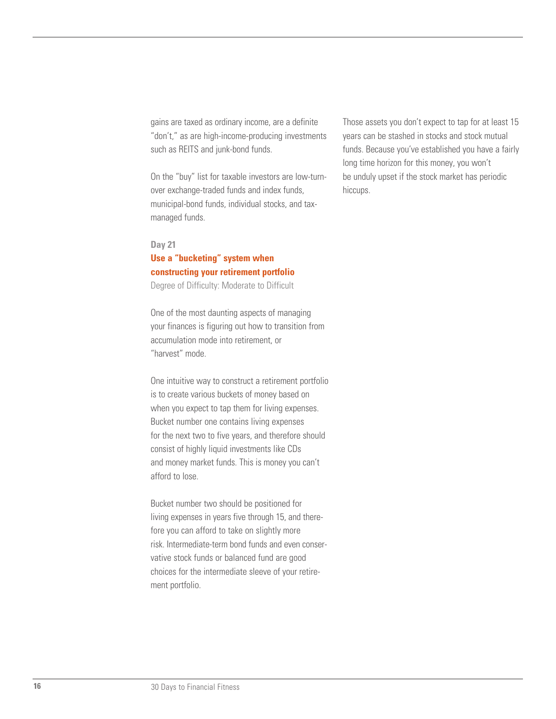gains are taxed as ordinary income, are a definite "don't," as are high-income-producing investments such as REITS and junk-bond funds.

On the "buy" list for taxable investors are low-turnover exchange-traded funds and index funds, municipal-bond funds, individual stocks, and taxmanaged funds.

### **Day 21**

# **Use a "bucketing" system when constructing your retirement portfolio**

Degree of Difficulty: Moderate to Difficult

One of the most daunting aspects of managing your finances is figuring out how to transition from accumulation mode into retirement, or "harvest" mode.

One intuitive way to construct a retirement portfolio is to create various buckets of money based on when you expect to tap them for living expenses. Bucket number one contains living expenses for the next two to five years, and therefore should consist of highly liquid investments like CDs and money market funds. This is money you can't afford to lose.

Bucket number two should be positioned for living expenses in years five through 15, and therefore you can afford to take on slightly more risk. Intermediate-term bond funds and even conservative stock funds or balanced fund are good choices for the intermediate sleeve of your retirement portfolio.

Those assets you don't expect to tap for at least 15 years can be stashed in stocks and stock mutual funds. Because you've established you have a fairly long time horizon for this money, you won't be unduly upset if the stock market has periodic hiccups.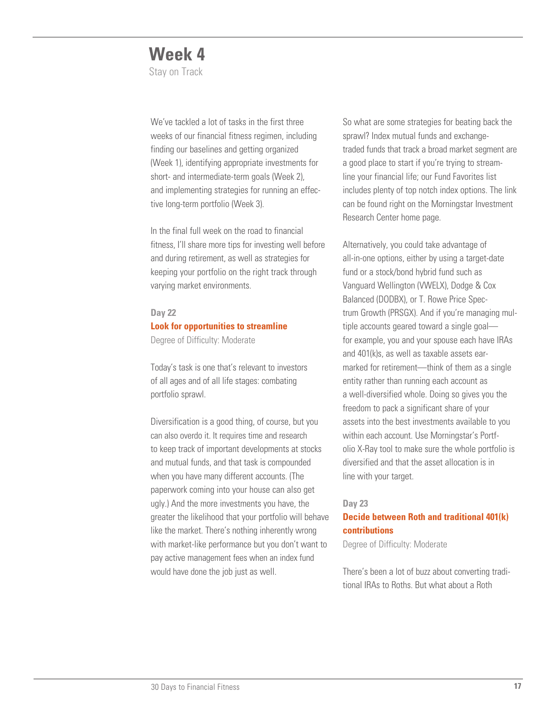# **Week 4**

Stay on Track

We've tackled a lot of tasks in the first three weeks of our financial fitness regimen, including finding our baselines and getting organized (Week 1), identifying appropriate investments for short- and intermediate-term goals (Week 2), and implementing strategies for running an effective long-term portfolio (Week 3).

In the final full week on the road to financial fitness, I'll share more tips for investing well before and during retirement, as well as strategies for keeping your portfolio on the right track through varying market environments.

### **Day 22**

### **Look for opportunities to streamline**

Degree of Difficulty: Moderate

Today's task is one that's relevant to investors of all ages and of all life stages: combating portfolio sprawl.

Diversification is a good thing, of course, but you can also overdo it. It requires time and research to keep track of important developments at stocks and mutual funds, and that task is compounded when you have many different accounts. (The paperwork coming into your house can also get ugly.) And the more investments you have, the greater the likelihood that your portfolio will behave like the market. There's nothing inherently wrong with market-like performance but you don't want to pay active management fees when an index fund would have done the job just as well.

So what are some strategies for beating back the sprawl? Index mutual funds and exchangetraded funds that track a broad market segment are a good place to start if you're trying to streamline your financial life; our Fund Favorites list includes plenty of top notch index options. The link can be found right on the Morningstar Investment Research Center home page.

Alternatively, you could take advantage of all-in-one options, either by using a target-date fund or a stock/bond hybrid fund such as Vanguard Wellington (VWELX), Dodge & Cox Balanced (DODBX), or T. Rowe Price Spectrum Growth (PRSGX). And if you're managing multiple accounts geared toward a single goal for example, you and your spouse each have IRAs and 401(k)s, as well as taxable assets earmarked for retirement—think of them as a single entity rather than running each account as a well-diversified whole. Doing so gives you the freedom to pack a significant share of your assets into the best investments available to you within each account. Use Morningstar's Portfolio X-Ray tool to make sure the whole portfolio is diversified and that the asset allocation is in line with your target.

### **Day 23**

### **Decide between Roth and traditional 401(k) contributions**

Degree of Difficulty: Moderate

There's been a lot of buzz about converting traditional IRAs to Roths. But what about a Roth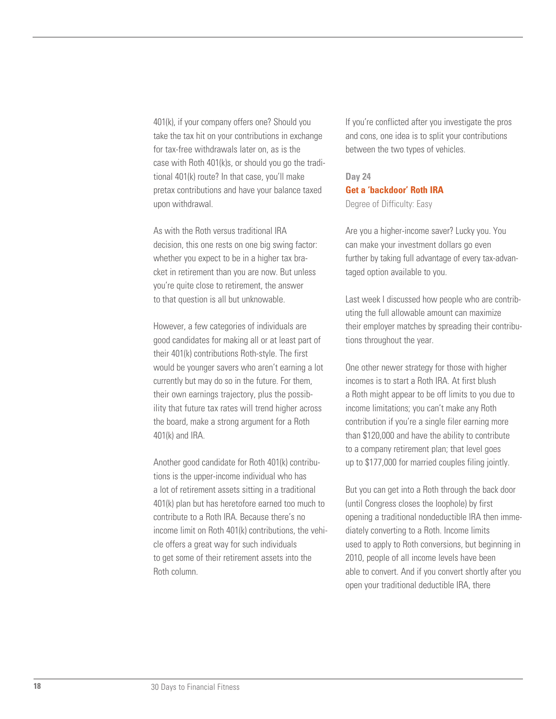401(k), if your company offers one? Should you take the tax hit on your contributions in exchange for tax-free withdrawals later on, as is the case with Roth 401(k)s, or should you go the traditional 401(k) route? In that case, you'll make pretax contributions and have your balance taxed upon withdrawal.

As with the Roth versus traditional IRA decision, this one rests on one big swing factor: whether you expect to be in a higher tax bracket in retirement than you are now. But unless you're quite close to retirement, the answer to that question is all but unknowable.

However, a few categories of individuals are good candidates for making all or at least part of their 401(k) contributions Roth-style. The first would be younger savers who aren't earning a lot currently but may do so in the future. For them, their own earnings trajectory, plus the possibility that future tax rates will trend higher across the board, make a strong argument for a Roth 401(k) and IRA.

Another good candidate for Roth 401(k) contributions is the upper-income individual who has a lot of retirement assets sitting in a traditional 401(k) plan but has heretofore earned too much to contribute to a Roth IRA. Because there's no income limit on Roth 401(k) contributions, the vehicle offers a great way for such individuals to get some of their retirement assets into the Roth column.

If you're conflicted after you investigate the pros and cons, one idea is to split your contributions between the two types of vehicles.

# **Day 24 Get a 'backdoor' Roth IRA**

Degree of Difficulty: Easy

Are you a higher-income saver? Lucky you. You can make your investment dollars go even further by taking full advantage of every tax-advantaged option available to you.

Last week I discussed how people who are contributing the full allowable amount can maximize their employer matches by spreading their contributions throughout the year.

One other newer strategy for those with higher incomes is to start a Roth IRA. At first blush a Roth might appear to be off limits to you due to income limitations; you can't make any Roth contribution if you're a single filer earning more than \$120,000 and have the ability to contribute to a company retirement plan; that level goes up to \$177,000 for married couples filing jointly.

But you can get into a Roth through the back door (until Congress closes the loophole) by first opening a traditional nondeductible IRA then immediately converting to a Roth. Income limits used to apply to Roth conversions, but beginning in 2010, people of all income levels have been able to convert. And if you convert shortly after you open your traditional deductible IRA, there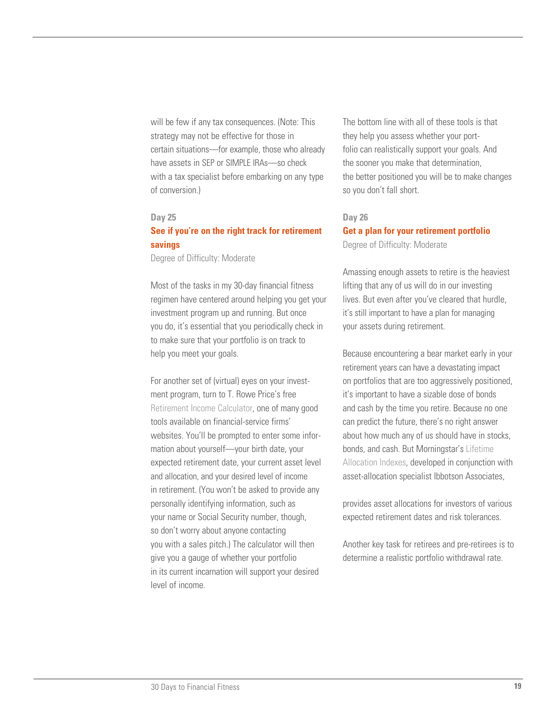will be few if any tax consequences. (Note: This strategy may not be effective for those in certain situations—for example, those who already have assets in SEP or SIMPLE IRAs—so check with a tax specialist before embarking on any type of conversion.)

### **Day 25**

### **See if you're on the right track for retirement savings**

Degree of Difficulty: Moderate

Most of the tasks in my 30-day financial fitness regimen have centered around helping you get your investment program up and running. But once you do, it's essential that you periodically check in to make sure that your portfolio is on track to help you meet your goals.

For another set of (virtual) eyes on your investment program, turn to T. Rowe Price's free [Retirement Income Calculator,](https://www3.troweprice.com/ric/ricweb/public/ric.do?van=ric) one of many good tools available on financial-service firms' websites. You'll be prompted to enter some information about yourself—your birth date, your expected retirement date, your current asset level and allocation, and your desired level of income in retirement. (You won't be asked to provide any personally identifying information, such as your name or Social Security number, though, so don't worry about anyone contacting you with a sales pitch.) The calculator will then give you a gauge of whether your portfolio in its current incarnation will support your desired level of income.

The bottom line with all of these tools is that they help you assess whether your portfolio can realistically support your goals. And the sooner you make that determination, the better positioned you will be to make changes so you don't fall short.

### **Day 26**

**Get a plan for your retirement portfolio** Degree of Difficulty: Moderate

Amassing enough assets to retire is the heaviest lifting that any of us will do in our investing lives. But even after you've cleared that hurdle, it's still important to have a plan for managing your assets during retirement.

Because encountering a bear market early in your retirement years can have a devastating impact on portfolios that are too aggressively positioned, it's important to have a sizable dose of bonds and cash by the time you retire. Because no one can predict the future, there's no right answer about how much any of us should have in stocks, bonds, and cash. But Morningstar's [Lifetime](http://corporate.morningstar.com/US/documents/MarketingOneSheets/AssetAllocationsSummary.pdf)  [Allocation Indexes, d](http://corporate.morningstar.com/US/documents/MarketingOneSheets/AssetAllocationsSummary.pdf)eveloped in conjunction with asset-allocation specialist Ibbotson Associates,

provides asset allocations for investors of various expected retirement dates and risk tolerances.

Another key task for retirees and pre-retirees is to determine a realistic portfolio withdrawal rate.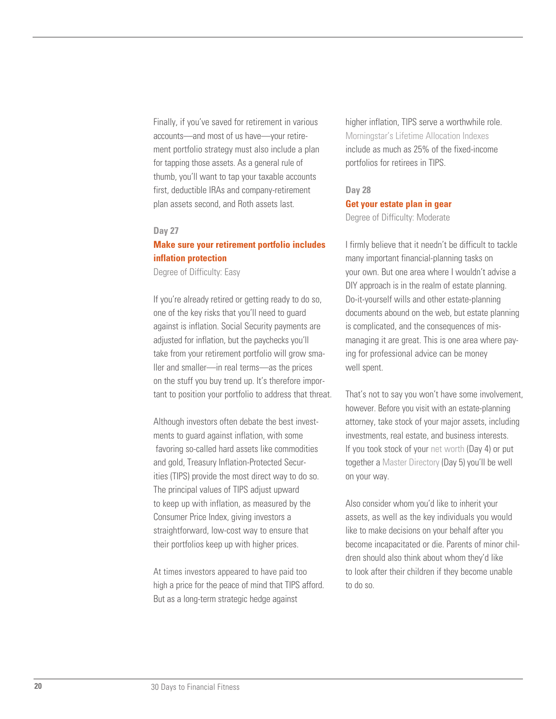Finally, if you've saved for retirement in various accounts—and most of us have—your retirement portfolio strategy must also include a plan for tapping those assets. As a general rule of thumb, you'll want to tap your taxable accounts first, deductible IRAs and company-retirement plan assets second, and Roth assets last.

#### **Day 27**

### **Make sure your retirement portfolio includes inflation protection**

Degree of Difficulty: Easy

If you're already retired or getting ready to do so, one of the key risks that you'll need to guard against is inflation. Social Security payments are adjusted for inflation, but the paychecks you'll take from your retirement portfolio will grow smaller and smaller—in real terms—as the prices on the stuff you buy trend up. It's therefore important to position your portfolio to address that threat.

Although investors often debate the best investments to guard against inflation, with some favoring so-called hard assets like commodities and gold, Treasury Inflation-Protected Securities (TIPS) provide the most direct way to do so. The principal values of TIPS adjust upward to keep up with inflation, as measured by the Consumer Price Index, giving investors a straightforward, low-cost way to ensure that their portfolios keep up with higher prices.

At times investors appeared to have paid too high a price for the peace of mind that TIPS afford. But as a long-term strategic hedge against

higher inflation, TIPS serve a worthwhile role. [Morningstar's Lifetime Allocation Indexes](http://corporate.morningstar.com/US/documents/MarketingOneSheets/AssetAllocationsSummary.pdf) include as much as 25% of the fixed-income portfolios for retirees in TIPS.

# **Day 28 Get your estate plan in gear**

Degree of Difficulty: Moderate

I firmly believe that it needn't be difficult to tackle many important financial-planning tasks on your own. But one area where I wouldn't advise a DIY approach is in the realm of estate planning. Do-it-yourself wills and other estate-planning documents abound on the web, but estate planning is complicated, and the consequences of mismanaging it are great. This is one area where paying for professional advice can be money well spent.

That's not to say you won't have some involvement, however. Before you visit with an estate-planning attorney, take stock of your major assets, including investments, real estate, and business interests. If you took stock of your [net worth](http://news.morningstar.com/pdfs/Net_Worth_Worksheet.pdf) (Day 4) or put together a [Master Directory \(D](http://finance.morningstar.com/ThirtyMinPDF/HouseholdBudget/30Min_Worsheet7-1.pdf)ay 5) you'll be well on your way.

Also consider whom you'd like to inherit your assets, as well as the key individuals you would like to make decisions on your behalf after you become incapacitated or die. Parents of minor children should also think about whom they'd like to look after their children if they become unable to do so.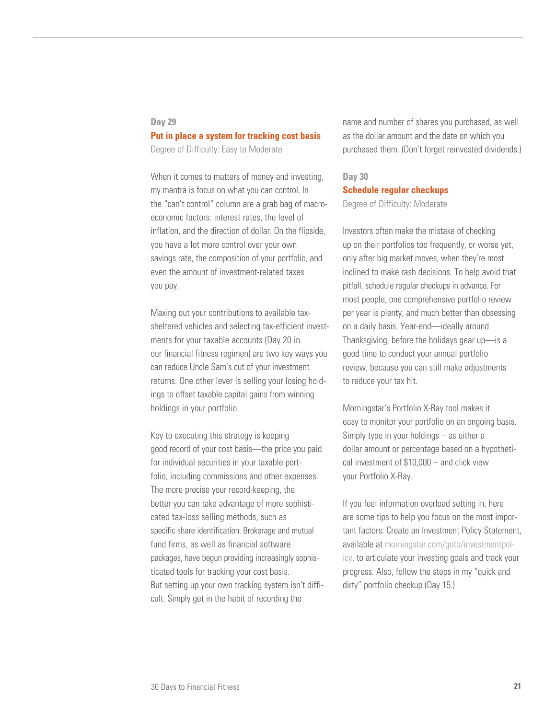### **Day 29**

### **Put in place a system for tracking cost basis**

Degree of Difficulty: Easy to Moderate

When it comes to matters of money and investing, my mantra is focus on what you can control. In the "can't control" column are a grab bag of macroeconomic factors: interest rates, the level of inflation, and the direction of dollar. On the flipside, you have a lot more control over your own savings rate, the composition of your portfolio, and even the amount of investment-related taxes you pay.

Maxing out your contributions to available taxsheltered vehicles and selecting tax-efficient investments for your taxable accounts (Day 20 in our financial fitness regimen) are two key ways you can reduce Uncle Sam's cut of your investment returns. One other lever is selling your losing holdings to offset taxable capital gains from winning holdings in your portfolio.

Key to executing this strategy is keeping good record of your cost basis—the price you paid for individual securities in your taxable portfolio, including commissions and other expenses. The more precise your record-keeping, the better you can take advantage of more sophisticated tax-loss selling methods, such as specific share identification. Brokerage and mutual fund firms, as well as financial software packages, have begun providing increasingly sophisticated tools for tracking your cost basis. But setting up your own tracking system isn't difficult. Simply get in the habit of recording the

name and number of shares you purchased, as well as the dollar amount and the date on which you purchased them. (Don't forget reinvested dividends.)

## **Day 30 Schedule regular checkups**

Degree of Difficulty: Moderate

Investors often make the mistake of checking up on their portfolios too frequently, or worse yet, only after big market moves, when they're most inclined to make rash decisions. To help avoid that pitfall, schedule regular checkups in advance. For most people, one comprehensive portfolio review per year is plenty, and much better than obsessing on a daily basis. Year-end—ideally around Thanksgiving, before the holidays gear up—is a good time to conduct your annual portfolio review, because you can still make adjustments to reduce your tax hit.

Morningstar's Portfolio X-Ray tool makes it easy to monitor your portfolio on an ongoing basis. Simply type in your holdings – as either a dollar amount or percentage based on a hypothetical investment of \$10,000 – and click view your Portfolio X-Ray.

If you feel information overload setting in, here are some tips to help you focus on the most important factors: Create an Investment Policy Statement, available a[t morningstar.com/goto/investmentpol](http://news.morningstar.com/pdfs/Investment_Policy_Worksheet.pdf)[icy,](http://news.morningstar.com/pdfs/Investment_Policy_Worksheet.pdf) to articulate your investing goals and track your progress. Also, follow the steps in my "quick and dirty" portfolio checkup (Day 15.)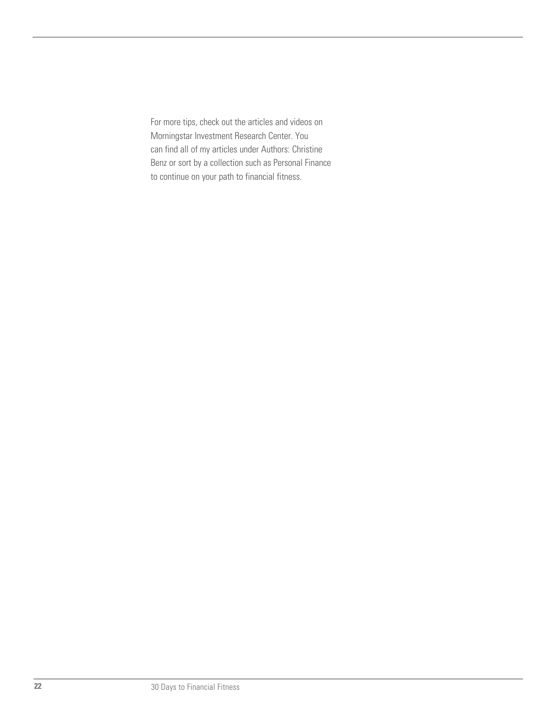For more tips, check out the articles and videos on Morningstar Investment Research Center. You can find all of my articles under Authors: Christine Benz or sort by a collection such as Personal Finance to continue on your path to financial fitness.